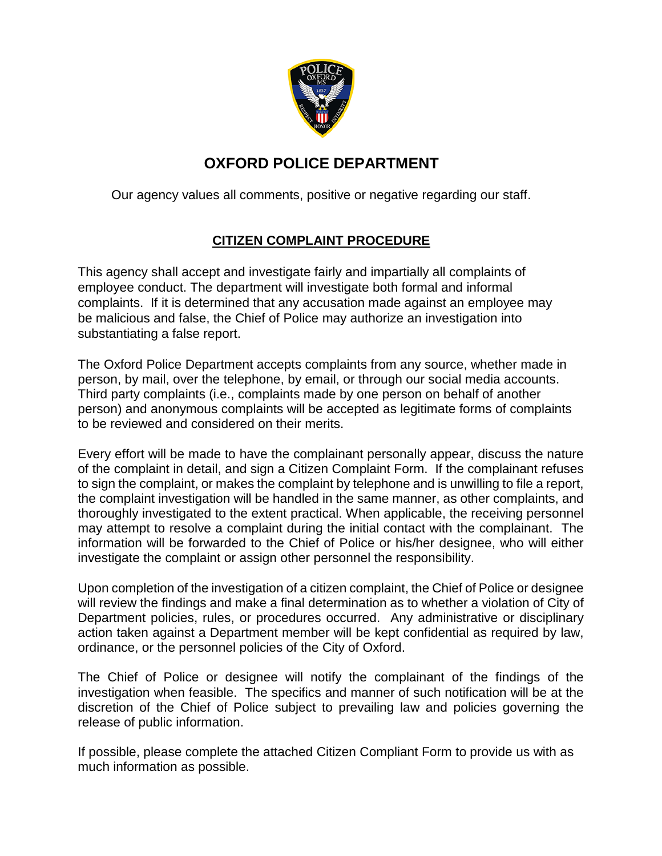

## **OXFORD POLICE DEPARTMENT**

Our agency values all comments, positive or negative regarding our staff.

## **CITIZEN COMPLAINT PROCEDURE**

This agency shall accept and investigate fairly and impartially all complaints of employee conduct. The department will investigate both formal and informal complaints. If it is determined that any accusation made against an employee may be malicious and false, the Chief of Police may authorize an investigation into substantiating a false report.

The Oxford Police Department accepts complaints from any source, whether made in person, by mail, over the telephone, by email, or through our social media accounts. Third party complaints (i.e., complaints made by one person on behalf of another person) and anonymous complaints will be accepted as legitimate forms of complaints to be reviewed and considered on their merits.

Every effort will be made to have the complainant personally appear, discuss the nature of the complaint in detail, and sign a Citizen Complaint Form. If the complainant refuses to sign the complaint, or makes the complaint by telephone and is unwilling to file a report, the complaint investigation will be handled in the same manner, as other complaints, and thoroughly investigated to the extent practical. When applicable, the receiving personnel may attempt to resolve a complaint during the initial contact with the complainant. The information will be forwarded to the Chief of Police or his/her designee, who will either investigate the complaint or assign other personnel the responsibility.

Upon completion of the investigation of a citizen complaint, the Chief of Police or designee will review the findings and make a final determination as to whether a violation of City of Department policies, rules, or procedures occurred. Any administrative or disciplinary action taken against a Department member will be kept confidential as required by law, ordinance, or the personnel policies of the City of Oxford.

The Chief of Police or designee will notify the complainant of the findings of the investigation when feasible. The specifics and manner of such notification will be at the discretion of the Chief of Police subject to prevailing law and policies governing the release of public information.

If possible, please complete the attached Citizen Compliant Form to provide us with as much information as possible.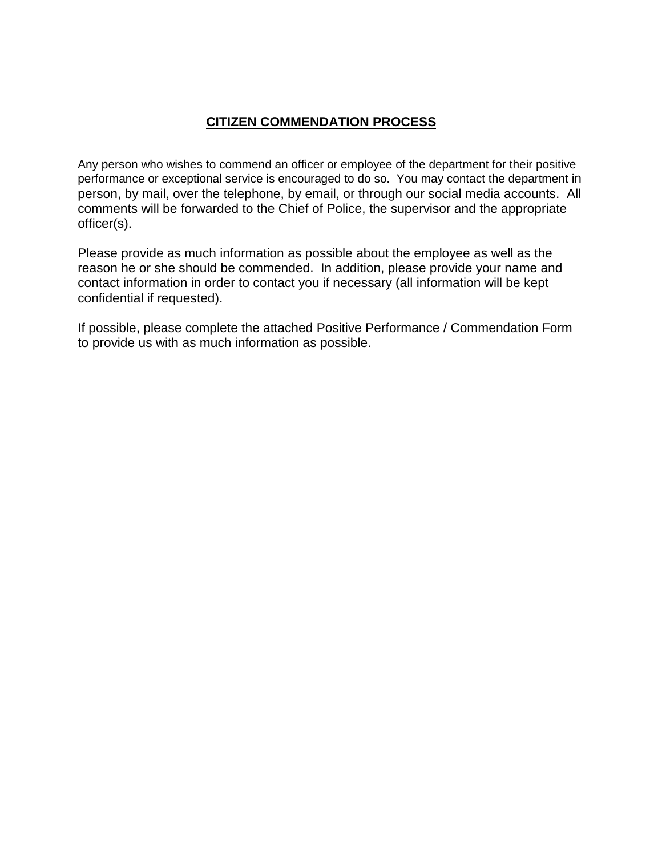## **CITIZEN COMMENDATION PROCESS**

Any person who wishes to commend an officer or employee of the department for their positive performance or exceptional service is encouraged to do so. You may contact the department in person, by mail, over the telephone, by email, or through our social media accounts. All comments will be forwarded to the Chief of Police, the supervisor and the appropriate officer(s).

Please provide as much information as possible about the employee as well as the reason he or she should be commended. In addition, please provide your name and contact information in order to contact you if necessary (all information will be kept confidential if requested).

If possible, please complete the attached Positive Performance / Commendation Form to provide us with as much information as possible.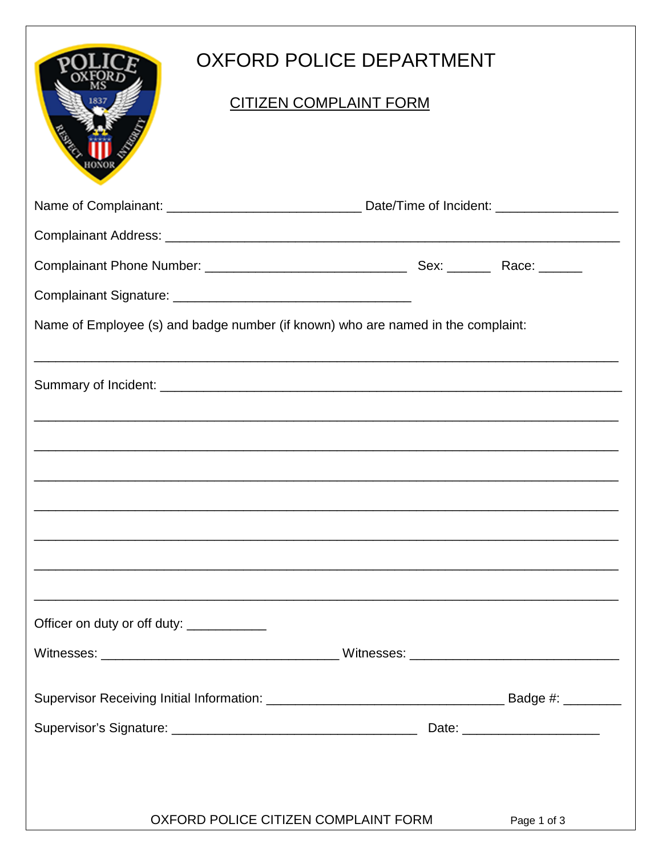|                                           |                                      | OXFORD POLICE DEPARTMENT                                                         |             |  |
|-------------------------------------------|--------------------------------------|----------------------------------------------------------------------------------|-------------|--|
|                                           |                                      | <u>CITIZEN COMPLAINT FORM</u>                                                    |             |  |
|                                           |                                      |                                                                                  |             |  |
|                                           |                                      |                                                                                  |             |  |
|                                           |                                      |                                                                                  |             |  |
|                                           |                                      |                                                                                  |             |  |
|                                           |                                      | Name of Employee (s) and badge number (if known) who are named in the complaint: |             |  |
|                                           |                                      |                                                                                  |             |  |
|                                           |                                      |                                                                                  |             |  |
|                                           |                                      |                                                                                  |             |  |
|                                           |                                      |                                                                                  |             |  |
|                                           |                                      |                                                                                  |             |  |
|                                           |                                      |                                                                                  |             |  |
|                                           |                                      |                                                                                  |             |  |
| Officer on duty or off duty: ____________ |                                      |                                                                                  |             |  |
|                                           |                                      |                                                                                  |             |  |
|                                           |                                      |                                                                                  |             |  |
|                                           |                                      |                                                                                  |             |  |
|                                           |                                      |                                                                                  |             |  |
|                                           |                                      |                                                                                  |             |  |
|                                           | OXFORD POLICE CITIZEN COMPLAINT FORM |                                                                                  | Page 1 of 3 |  |